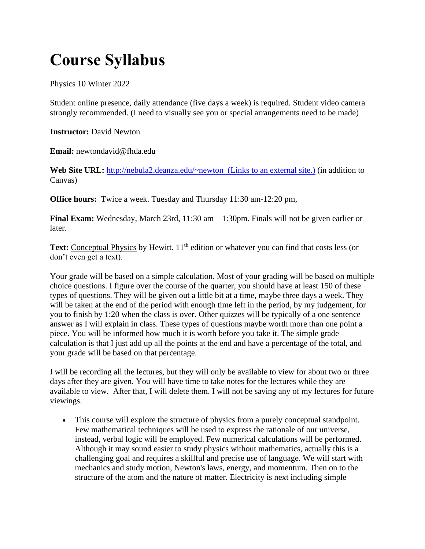## **Course Syllabus**

Physics 10 Winter 2022

Student online presence, daily attendance (five days a week) is required. Student video camera strongly recommended. (I need to visually see you or special arrangements need to be made)

**Instructor:** David Newton

**Email:** newtondavid@fhda.edu

Web Site URL: [http://nebula2.deanza.edu/~newton \(Links to an external site.\)](http://nebula2.deanza.edu/~newton%C2%A0) (in addition to Canvas)

**Office hours:** Twice a week. Tuesday and Thursday 11:30 am-12:20 pm,

**Final Exam:** Wednesday, March 23rd, 11:30 am – 1:30pm. Finals will not be given earlier or later.

**Text:** Conceptual Physics by Hewitt. 11<sup>th</sup> edition or whatever you can find that costs less (or don't even get a text).

Your grade will be based on a simple calculation. Most of your grading will be based on multiple choice questions. I figure over the course of the quarter, you should have at least 150 of these types of questions. They will be given out a little bit at a time, maybe three days a week. They will be taken at the end of the period with enough time left in the period, by my judgement, for you to finish by 1:20 when the class is over. Other quizzes will be typically of a one sentence answer as I will explain in class. These types of questions maybe worth more than one point a piece. You will be informed how much it is worth before you take it. The simple grade calculation is that I just add up all the points at the end and have a percentage of the total, and your grade will be based on that percentage.

I will be recording all the lectures, but they will only be available to view for about two or three days after they are given. You will have time to take notes for the lectures while they are available to view. After that, I will delete them. I will not be saving any of my lectures for future viewings.

• This course will explore the structure of physics from a purely conceptual standpoint. Few mathematical techniques will be used to express the rationale of our universe, instead, verbal logic will be employed. Few numerical calculations will be performed. Although it may sound easier to study physics without mathematics, actually this is a challenging goal and requires a skillful and precise use of language. We will start with mechanics and study motion, Newton's laws, energy, and momentum. Then on to the structure of the atom and the nature of matter. Electricity is next including simple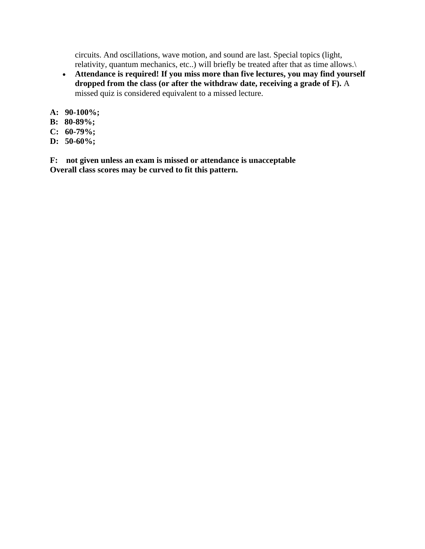circuits. And oscillations, wave motion, and sound are last. Special topics (light, relativity, quantum mechanics, etc..) will briefly be treated after that as time allows.\

- **Attendance is required! If you miss more than five lectures, you may find yourself dropped from the class (or after the withdraw date, receiving a grade of F).** A missed quiz is considered equivalent to a missed lecture.
- **A: 90-100%;**
- **B: 80-89%;**
- **C: 60-79%;**
- **D: 50-60%;**

**F: not given unless an exam is missed or attendance is unacceptable Overall class scores may be curved to fit this pattern.**